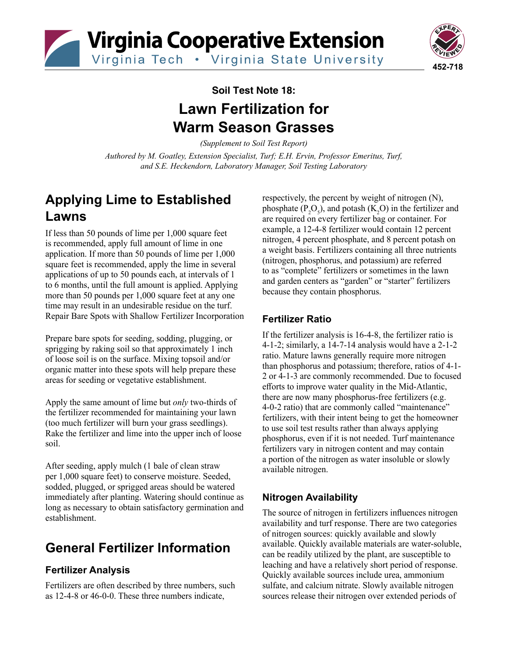

Virginia Tech . Virginia State University



## **Soil Test Note 18: Lawn Fertilization for Warm Season Grasses**

*(Supplement to Soil Test Report)*

*Authored by M. Goatley, Extension Specialist, Turf; E.H. Ervin, Professor Emeritus, Turf, and S.E. Heckendorn, Laboratory Manager, Soil Testing Laboratory*

## **Applying Lime to Established Lawns**

If less than 50 pounds of lime per 1,000 square feet is recommended, apply full amount of lime in one application. If more than 50 pounds of lime per 1,000 square feet is recommended, apply the lime in several applications of up to 50 pounds each, at intervals of 1 to 6 months, until the full amount is applied. Applying more than 50 pounds per 1,000 square feet at any one time may result in an undesirable residue on the turf. Repair Bare Spots with Shallow Fertilizer Incorporation

Prepare bare spots for seeding, sodding, plugging, or sprigging by raking soil so that approximately 1 inch of loose soil is on the surface. Mixing topsoil and/or organic matter into these spots will help prepare these areas for seeding or vegetative establishment.

Apply the same amount of lime but *only* two-thirds of the fertilizer recommended for maintaining your lawn (too much fertilizer will burn your grass seedlings). Rake the fertilizer and lime into the upper inch of loose soil.

After seeding, apply mulch (1 bale of clean straw per 1,000 square feet) to conserve moisture. Seeded, sodded, plugged, or sprigged areas should be watered immediately after planting. Watering should continue as long as necessary to obtain satisfactory germination and establishment.

# **General Fertilizer Information**

### **Fertilizer Analysis**

Fertilizers are often described by three numbers, such as 12-4-8 or 46-0-0. These three numbers indicate,

respectively, the percent by weight of nitrogen (N), phosphate  $(P_2O_5)$ , and potash  $(K_2O)$  in the fertilizer and are required on every fertilizer bag or container. For example, a 12-4-8 fertilizer would contain 12 percent nitrogen, 4 percent phosphate, and 8 percent potash on a weight basis. Fertilizers containing all three nutrients (nitrogen, phosphorus, and potassium) are referred to as "complete" fertilizers or sometimes in the lawn and garden centers as "garden" or "starter" fertilizers because they contain phosphorus.

### **Fertilizer Ratio**

If the fertilizer analysis is 16-4-8, the fertilizer ratio is 4-1-2; similarly, a 14-7-14 analysis would have a 2-1-2 ratio. Mature lawns generally require more nitrogen than phosphorus and potassium; therefore, ratios of 4-1- 2 or 4-1-3 are commonly recommended. Due to focused efforts to improve water quality in the Mid-Atlantic, there are now many phosphorus-free fertilizers (e.g. 4-0-2 ratio) that are commonly called "maintenance" fertilizers, with their intent being to get the homeowner to use soil test results rather than always applying phosphorus, even if it is not needed. Turf maintenance fertilizers vary in nitrogen content and may contain a portion of the nitrogen as water insoluble or slowly available nitrogen.

### **Nitrogen Availability**

The source of nitrogen in fertilizers influences nitrogen availability and turf response. There are two categories of nitrogen sources: quickly available and slowly available. Quickly available materials are water-soluble, can be readily utilized by the plant, are susceptible to leaching and have a relatively short period of response. Quickly available sources include urea, ammonium sulfate, and calcium nitrate. Slowly available nitrogen sources release their nitrogen over extended periods of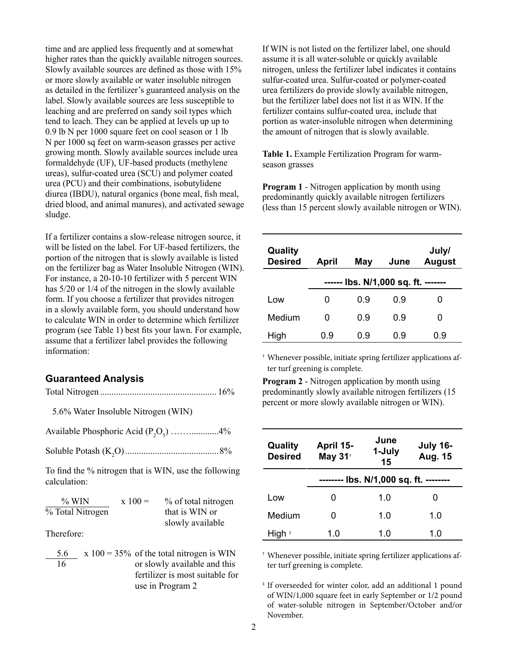time and are applied less frequently and at somewhat higher rates than the quickly available nitrogen sources. Slowly available sources are defined as those with 15% or more slowly available or water insoluble nitrogen as detailed in the fertilizer's guaranteed analysis on the label. Slowly available sources are less susceptible to leaching and are preferred on sandy soil types which tend to leach. They can be applied at levels up up to 0.9 lb N per 1000 square feet on cool season or 1 lb N per 1000 sq feet on warm-season grasses per active growing month. Slowly available sources include urea formaldehyde (UF), UF-based products (methylene ureas), sulfur-coated urea (SCU) and polymer coated urea (PCU) and their combinations, isobutylidene diurea (IBDU), natural organics (bone meal, fish meal, dried blood, and animal manures), and activated sewage sludge.

If a fertilizer contains a slow-release nitrogen source, it will be listed on the label. For UF-based fertilizers, the portion of the nitrogen that is slowly available is listed on the fertilizer bag as Water Insoluble Nitrogen (WIN). For instance, a 20-10-10 fertilizer with 5 percent WIN has 5/20 or 1/4 of the nitrogen in the slowly available form. If you choose a fertilizer that provides nitrogen in a slowly available form, you should understand how to calculate WIN in order to determine which fertilizer program (see Table 1) best fits your lawn. For example, assume that a fertilizer label provides the following information:

#### **Guaranteed Analysis**

Total Nitrogen ................................................... 16%

5.6% Water Insoluble Nitrogen (WIN)

Available Phosphoric Acid  $(P_2O_5)$  ...................4%

Soluble Potash (K2 O).........................................8%

To find the % nitrogen that is WIN, use the following calculation:

| $\%$ WIN         | $x 100 =$ | % of total nitrogen |
|------------------|-----------|---------------------|
| % Total Nitrogen |           | that is WIN or      |
|                  |           | slowly available    |

Therefore:

| 5.6 | $x 100 = 35\%$ of the total nitrogen is WIN |  |
|-----|---------------------------------------------|--|
| 16  | or slowly available and this                |  |
|     | fertilizer is most suitable for             |  |
|     | use in Program 2                            |  |

If WIN is not listed on the fertilizer label, one should assume it is all water-soluble or quickly available nitrogen, unless the fertilizer label indicates it contains sulfur-coated urea. Sulfur-coated or polymer-coated urea fertilizers do provide slowly available nitrogen, but the fertilizer label does not list it as WIN. If the fertilizer contains sulfur-coated urea, include that portion as water-insoluble nitrogen when determining the amount of nitrogen that is slowly available.

**Table 1.** Example Fertilization Program for warmseason grasses

**Program 1** - Nitrogen application by month using predominantly quickly available nitrogen fertilizers (less than 15 percent slowly available nitrogen or WIN).

| Quality<br><b>Desired</b> | April                                  | May | June | July/<br><b>August</b> |
|---------------------------|----------------------------------------|-----|------|------------------------|
|                           | lbs. N/1,000 sq. ft. -------<br>------ |     |      |                        |
| Low                       | 0                                      | 0.9 | 0.9  | 0                      |
| Medium                    | O                                      | 0.9 | 0.9  | 0                      |
| High                      | 0.9                                    | 0.9 | 0.9  | 0.9                    |

† Whenever possible, initiate spring fertilizer applications after turf greening is complete.

**Program 2** - Nitrogen application by month using predominantly slowly available nitrogen fertilizers (15 percent or more slowly available nitrogen or WIN).

| Quality<br><b>Desired</b> | April 15-<br>May 31 <sup>t</sup>       | June<br>1-July<br>15 | <b>July 16-</b><br>Aug. 15 |  |
|---------------------------|----------------------------------------|----------------------|----------------------------|--|
|                           | -------- lbs. N/1,000 sq. ft. -------- |                      |                            |  |
| Low                       | O                                      | 1.0                  |                            |  |
| Medium                    | O                                      | 1.0                  | 1.0                        |  |
| High *                    | 1.0                                    | 1.0                  | 1.0                        |  |

† Whenever possible, initiate spring fertilizer applications after turf greening is complete.

‡ If overseeded for winter color, add an additional 1 pound of WIN/1,000 square feet in early September or 1/2 pound of water-soluble nitrogen in September/October and/or November.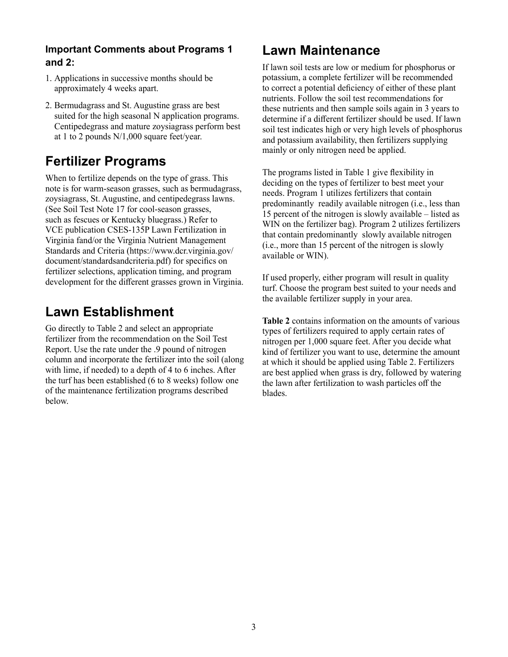### **Important Comments about Programs 1 and 2:**

- 1. Applications in successive months should be approximately 4 weeks apart.
- 2. Bermudagrass and St. Augustine grass are best suited for the high seasonal N application programs. Centipedegrass and mature zoysiagrass perform best at 1 to 2 pounds N/1,000 square feet/year.

## **Fertilizer Programs**

When to fertilize depends on the type of grass. This note is for warm-season grasses, such as bermudagrass, zoysiagrass, St. Augustine, and centipedegrass lawns. (See Soil Test Note 17 for cool-season grasses, such as fescues or Kentucky bluegrass.) Refer to VCE publication CSES-135P Lawn Fertilization in Virginia fand/or the Virginia Nutrient Management Standards and Criteria (https://www.dcr.virginia.gov/ document/standardsandcriteria.pdf) for specifics on fertilizer selections, application timing, and program development for the different grasses grown in Virginia.

## **Lawn Establishment**

Go directly to Table 2 and select an appropriate fertilizer from the recommendation on the Soil Test Report. Use the rate under the .9 pound of nitrogen column and incorporate the fertilizer into the soil (along with lime, if needed) to a depth of 4 to 6 inches. After the turf has been established (6 to 8 weeks) follow one of the maintenance fertilization programs described below.

# **Lawn Maintenance**

If lawn soil tests are low or medium for phosphorus or potassium, a complete fertilizer will be recommended to correct a potential deficiency of either of these plant nutrients. Follow the soil test recommendations for these nutrients and then sample soils again in 3 years to determine if a different fertilizer should be used. If lawn soil test indicates high or very high levels of phosphorus and potassium availability, then fertilizers supplying mainly or only nitrogen need be applied.

The programs listed in Table 1 give flexibility in deciding on the types of fertilizer to best meet your needs. Program 1 utilizes fertilizers that contain predominantly readily available nitrogen (i.e., less than 15 percent of the nitrogen is slowly available – listed as WIN on the fertilizer bag). Program 2 utilizes fertilizers that contain predominantly slowly available nitrogen (i.e., more than 15 percent of the nitrogen is slowly available or WIN).

If used properly, either program will result in quality turf. Choose the program best suited to your needs and the available fertilizer supply in your area.

**Table 2** contains information on the amounts of various types of fertilizers required to apply certain rates of nitrogen per 1,000 square feet. After you decide what kind of fertilizer you want to use, determine the amount at which it should be applied using Table 2. Fertilizers are best applied when grass is dry, followed by watering the lawn after fertilization to wash particles off the blades.